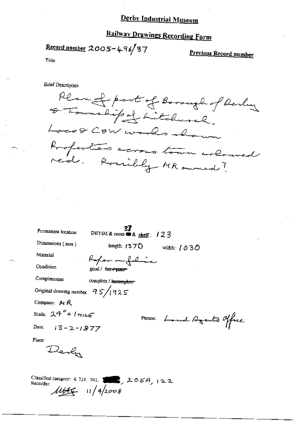## Railway Drawings Recording Form

Record number  $2005 - 496/37$ 

Previous Record number

Title

**Brief Description** 

Plan of part of Borough of Derly O Township of Litchurch, Locof Cow works shown Anoperties across town coloured ned. Rossibly MR owned?

| Permanent location                | DBYIM & room $\triangle$ shelf: 123 |                            |  |
|-----------------------------------|-------------------------------------|----------------------------|--|
| Dimensions (mm)                   | length: $1370$                      | widuh: 1030                |  |
| Material                          | Reference                           |                            |  |
| Condition                         | good / fair + peer                  |                            |  |
| Completeness                      | complete / incomplete               |                            |  |
| Original drawing number $95/1925$ |                                     |                            |  |
| Company: MR                       |                                     |                            |  |
| Scale: $24'' = 1 m \mu \epsilon$  |                                     | Person: Land Agents office |  |
| Date: $13 - 2 - 1877$             |                                     |                            |  |
| Place:                            |                                     |                            |  |
|                                   |                                     |                            |  |

Classified category: 4, 721, 301,  $\left(\frac{1}{2} \sum_{i=1}^{n} 2.05A_i\right)$  | 2, 2 Recorder:  $11446 - 11/42008$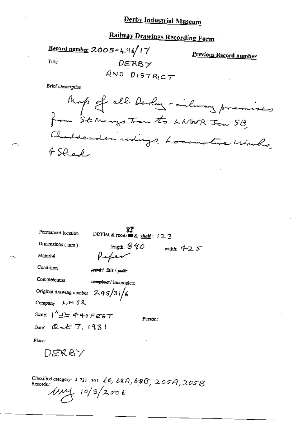## **Railway Drawings Recording Form**

Record number 2005-496/17

Previous Record number

Title

 $DERS$  $AND$  DISTRICT

**Brief Description** 



| Permanent Iocation                                             | DBYIM & room = & shelf: 123 |              |
|----------------------------------------------------------------|-----------------------------|--------------|
| Dimensions (mm)                                                | length: $840$               | width: $425$ |
| Material                                                       | Hafer                       |              |
| Condition                                                      | <del>good</del> fair/poor   |              |
| Completeness                                                   | cemplete / incomplete       |              |
| Original drawing number $245/31/6$                             |                             |              |
| Company: LM SR                                                 |                             |              |
| Scale: $1''$ $\Delta$ $\pm$ 440 F $\epsilon$ $\epsilon$ $\tau$ | Person:                     |              |
| Date: Q $\epsilon$ $\epsilon$ 7. 1931                          |                             |              |
| Place:                                                         | ٠                           |              |
| DERBY                                                          |                             |              |

Classified category: 4, 721, 301, 60, 68A, 68B, 205A, 205B  $10/3/2006$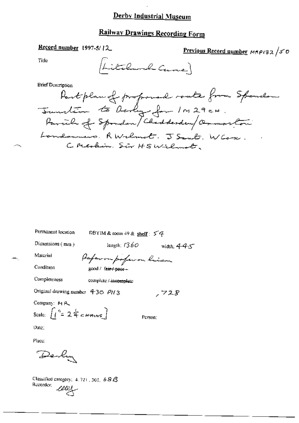#### Railway Drawings Recording Form

#### Record number 1997-5/12

Previous Record number MRP132/50

Title

(Litchwood Carrie)

**Brief Description** 

Partplan of proponed route from Spondon Sunstion to Derly for IM29CH. Parcile of Spondon/Chadderden/OrmanCom Londonnes. RWclmot. J Sant. W Cose. C. Merkin. Sir HSWilmot,

Permanent location

DBYIM & room 49 & shell:  $54$ 

Dimensions  $(mn)$ 

length;  $1360$  width;  $445$ 

Material

Condition

Completeness

Paperon poferon him good / fair / poor +

complete / incomplete

Original drawing number  $430$  PH 3

Company: MR Scale:  $\int_1^{\tau} 2 \xi \epsilon_{\text{Hriav}}$ 

Person:

,728

Date:

Place:

Derli

Classified category:  $4.721,301,68B$ Recorder; we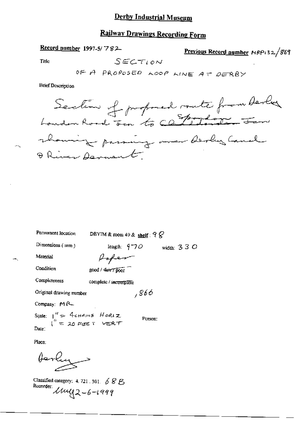## Railway Drawings Recording Form

#### Record number 1997-5/782-

Previous Record number NRP132/869

 $\overline{a}$ 

Title

 $-$ 

**Brief Description** 

| Permanent location                                              | DBYIM & room 49 & shelf : $9\%$ |              |  |
|-----------------------------------------------------------------|---------------------------------|--------------|--|
| Dimensions (mm)                                                 | length: $9 - 70$                | width: $330$ |  |
| Material                                                        | fopen                           |              |  |
| Condition                                                       | good / Curry poor               |              |  |
| Completeness                                                    | complete / incomplete           |              |  |
| Original drawing mumber                                         | ,866                            |              |  |
| Company: MR-                                                    |                                 |              |  |
| Scale: $1''$ = 4 cHAMS HORIZ<br>$1''$ = 20 FEET VERT<br>Person: |                                 |              |  |
| Date:                                                           |                                 |              |  |
|                                                                 |                                 |              |  |

Place:

terly -

Classified category: 4, 721 . 301. 6 8 B.<br>Recorder:  $\mathcal{U} \sim 6 - 1999$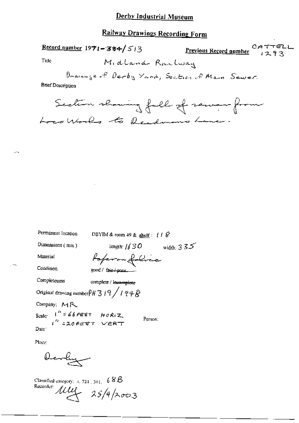#### Railway Drawings Recording Form

| $\frac{\text{Record number}}{\text{1971} - 384}$ 513 | Previous Record number 1293 |
|------------------------------------------------------|-----------------------------|
| Title<br>Midland Railway                             |                             |
| Draininge of Derby Yard, Section of Main Sewer.      |                             |
| <b>Brief Description</b>                             |                             |
| Section showing fall of several from                 |                             |
| LocalWorks to Readmons Lane.                         |                             |
|                                                      |                             |

Permanent Iccation

DBYIM & room 49 & shelf:  $118$ 

length:  $1/30$  width:  $335$ 

Dimensions (mm)

Material

Poperon folice  $good /$  fair  $/$  pont ...

Condition

Completeness complete / incomplete

Original drawing number  $\frac{\rho_H}{3}$  | 9  $\frac{\sqrt{19}}{9}$ 

Company: MR

Scale  $1'' = 66$ FEET HORIZ Person: Date:

Place:

Devly

Classified category:  $4, 721, 301, -6$  S.B. Recorder  $\mu$   $\mu$  25/4/2003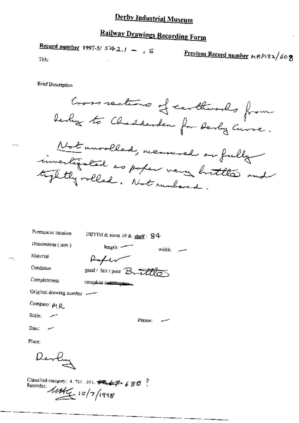# **Railway Drawings Recording Form**

Record number 1997-5/  $542.1 - 5$ 

Previous Record number MRP132/608

Title

**Brief Description** 

Cross sections of carthinoods from Derlig to Charlderden for Derly Curre. Not unrolled, meanwel or fully invertigated as paper very buttle and tightly rolled. Not runbered.

width:  $\qquad$ 

Permanent location

DBYIM & room 49 & shelf:  $84$ 

Person:

Dimensions (mm)

 $length$ 

Material Condition

Peter good/fair/poor Bruttles

Completeness

complete Extentionaless

Original drawing number

Company: 14 R

Scale:

Date:

Place:

Derly

Classified category: 4, 721, 301,  $\overrightarrow{B} = \overrightarrow{B}$  6 8  $\overrightarrow{B}$   $\overrightarrow{C}$ Recorder: 10/7/1998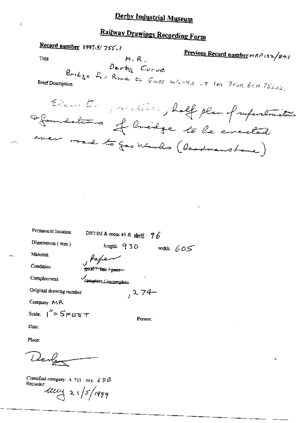# Railway Drawings Recording Form

Record number 1997-5/755.1 Previous Record number HRP132/841 M.R Title  $\mathcal{D}$ erby Corve  $B_{rightge}$   $f_{o}$   $R_{cond}$  to  $G_{mSS}$  whenks it IM BFUR GEH  $75\mu\text{s}$ . **Brief Description** Eleventin procedent, half plan of information aformations of Cridge to be executed road to gas Worlds ( deadmanshame)

| Permanent location      | DBYIM & room 49 & shelf: $96$ |              |
|-------------------------|-------------------------------|--------------|
| Dimensions $(mn)$       | length: 930                   | width: $605$ |
| Material                | y Papen                       |              |
| Condition               | good / fair / peer            |              |
| Completeness            | Complete Lincomplete<br>۰.    |              |
| Original drawing number | , 274-                        |              |
| Company: MR             |                               |              |
| Scale: $1'' = 5$ FEET   | Person:                       |              |
| Date :                  |                               |              |

Place:

Derly

Classified category:  $4.721.301.68B$ Recorder:  $\frac{1}{4}$  21/5/1999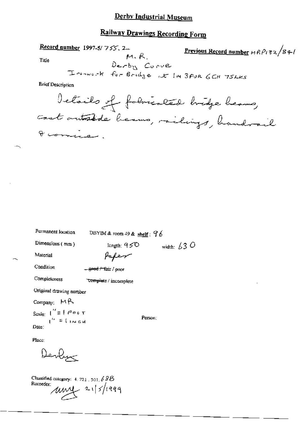## Railway Drawings Recording Form

| <b>Record number</b> 1997-5/755, 2. |                         | Previous Record number $MRPI32/8+1$       |
|-------------------------------------|-------------------------|-------------------------------------------|
| Title                               | $M, R$ .<br>Derby Corve |                                           |
|                                     |                         | I renvert for Bridge at IM 3FUR GCH 75LKS |
| <b>Brief Description</b>            |                         |                                           |
|                                     |                         | Details of followerled bridge heavy       |
|                                     |                         | cout autoride became, railings, handrail  |
| I comisso.                          |                         |                                           |
|                                     |                         |                                           |
|                                     |                         |                                           |
|                                     |                         |                                           |

 $\circ$ 

| Permanent location                                     | DBYIM & room 49 & shelf: $76$    |                   |  |
|--------------------------------------------------------|----------------------------------|-------------------|--|
| Dimensions (mm)                                        | length; $950$                    | width: $\sqrt{3}$ |  |
| Material                                               | Paper                            |                   |  |
| Condition                                              | <del>– good / fai</del> r / poor |                   |  |
| Completeness                                           | <b>Complete</b> / incomplete     |                   |  |
| Original drawing number                                |                                  |                   |  |
| Company: $M \uparrow$                                  |                                  |                   |  |
| Scale: $\int_{0}^{t} = \int e^{2\pi} \phi \sqrt{\tau}$ | Person;                          |                   |  |

Place:

Date:

 $\overline{\phantom{m}}$ 

Derbys

 $\mathbf{u}^{\prime\prime} \equiv 0$  and  $\mathbf{u}$ 

Classified category:  $4.721.501.68B$ Recorder:<br> $\mu$ <br> $\mu$ <br> $\left| \frac{21}{5} \right|$  1999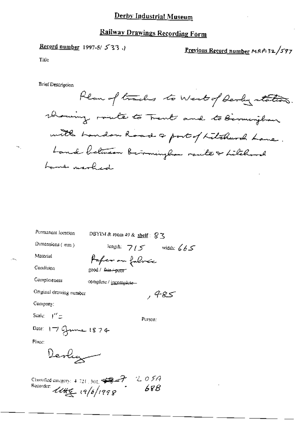#### Railway Drawings Recording Form

#### Record number 1997-5/ 533.

Previous Record number MRPI32/597

Title

**Brief Description** 

Plan of tracks to West of Derly station. rhowing minte to Trent and to Birmingham with handom Road a port of Litchwood Lane. Land between Bernmingham routes titchard Lame marked

Permanent location

Dimensions (mm)

DBYIM & room 49 & shelf:  $\sqrt{5}$ 

length:  $715$  width:  $665$ 

Person:

485 ,

Material

Paper on folirec good / <del>fair / poor</del>

Condition Completeness

complete / incomplete-

Ortginal drawing number

Company:

Scale:  $1'' =$ 

Date: 17 grunne 1874

Place:

Devly

Classified category:  $4.721, 301, 48.7$ <br>Records and Recorder:  $1145/1998$ 68B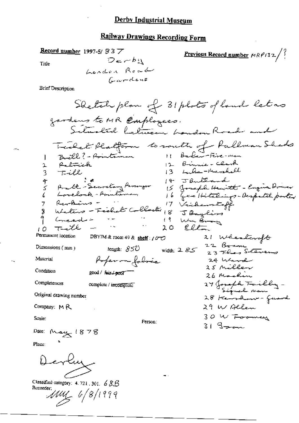### Railway Drawings Recording Form

Record number 1997-5/ S 3 7  $Derbu$ 

**Previous Record number**  $MRP/32/3$ 

Title

**Brief Description** 

Place:

Ł

Classified category: 4, 721, 301, 6 &B Recorder: Muy 6/8/1999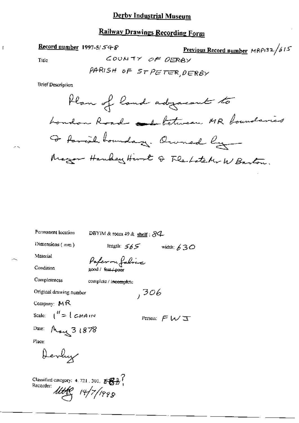#### Railway Drawings Recording Form

#### Record number 1997-5/ $548$

Title

$$
\frac{\text{Previous Record number} \, \text{MRPI32}}{\text{QERB}}
$$

 $COOMTY$ 

**Brief Description** 

Permanent location

DBYIM & room  $49$  & shelf :  $84$ 

Dimensions (mm)

length:  $565$  width:  $630$ 

 $,306$ 

Material

Condition

Completeness

complete / incomplete

good / fau / peor

Paperon folice

Original drawing number

Company: MR

Scale:  $\int_0^H = \int \mathcal{L} H A$  is y

Person:  $\cancel{F}$   $\cancel{W}$   $\overline{X}$ 

Date: May 3 1878

Place:

Devly

Classified category: 4.721, 301,  $\frac{1}{5}$ <br>Recorder:  $\frac{1}{1}$  $\frac{1}{4\pi}$  14/7/1998

 $\overline{1}$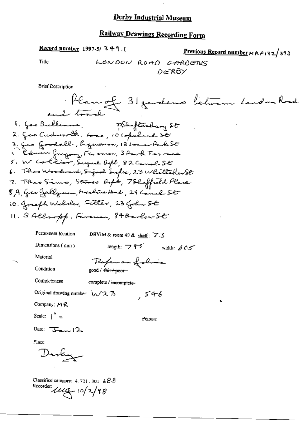### **Railway Drawings Recording Form**

Record number 1997-5/349.1

Previous Record number HRP132/393

Title

**Brief Description** 

Permanent location DBYIM & room 49 & shelf: 7.3

Paper on folio

Dimensions (mm)

length:  $\Rightarrow$  4-5 width:  $605$ 

Condition

Material

Completeness

complete / incomplete-

good / fair / peer-

Original drawing number  $\sqrt{23}$ 

Company: MR

Scale:  $\int_0^h$  =

Person:

 $546$ 

Date:  $\overline{J_{\text{max}}}/2$ 

Place:

Darkuz

Classified category: 4.721, 301, 68.8 Recorder:  $\mu$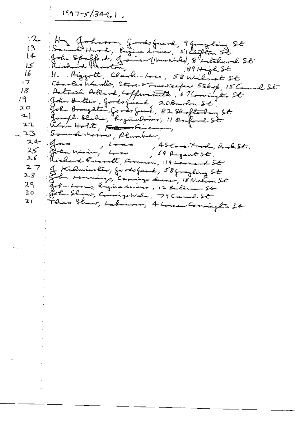$1997 - 5/344$ , 1.

 $H -$ Ha Johnson, goods fund, 9 granding St  $12$ 13 i 4 کا H. Piggott, Clark-Lore, 58 Wilmot St 16 Conclusionation, Serve & Fune Keeper 550p, 15 Camel St  $\sqrt{7}$ Political Pollard, Cofferentille, 67 Corrington St 18 John Buller, Goods Guard, 20Barbow St. 19 スロー googh blake, Engine Driver, 11 Or ford St 그) Win Holt, Family Fireman,  $21$ Somuse Morries, Plumber, - 23  $24$  $,$  Loco  $\mathcal{A}$ , 4 Stone Ford, Rook St.  $25^\circ$ John Wining Loss 64 Regent St. Richard Cocritt, Ferenin, 114 Leonard St 26  $27$ of Kilminster, goods guard, 58 graphing St For Lemmings, Corrige deaner, 18 Nelson St  $2 - 8$ 29. . John Lomes, Ringins driver, 12 Balance St John Show, Comigo Wales, 79 Canal St 30 Floor Strew, Labourer, 4 Lowen Corrington St 3 I.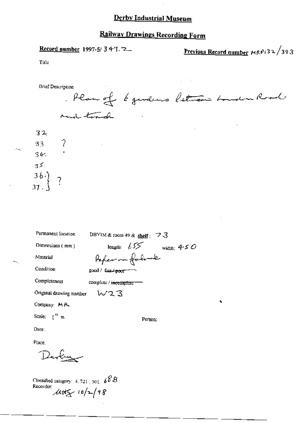### Railway Drawings Recording Form

Record number 1997-5/34-1.

Previous Record number MRP(32/393

Title

**Brief Description** Plan of 6 gendeurs letween hundred and track

 $32$  $33 - 7$  $345 35 \begin{array}{c} 36. \\ 37. \end{array}$  ?

 $-$ 

| Permanent location            | DBYIM & room 49 & shelf: $\vec{z}$ 3 |
|-------------------------------|--------------------------------------|
| Dimensions (mm)               | length: $655$<br>width: $450$        |
| Material                      | Poper on folose                      |
| Condition                     | good / fair <del>/ poor -</del>      |
| Completeness                  | complete / <del>incomplete</del>     |
| Original drawing number $W23$ |                                      |
| Company: MR                   |                                      |
| Scale: $\mathfrak{t}'' =$     | Person:                              |
| Date∶                         |                                      |
| Place:                        |                                      |
|                               |                                      |
|                               |                                      |
|                               | ◠∼                                   |

Classified category: 4, 721, 301,  $60B$ Recorder:  $\mu$ ttg 10/2/98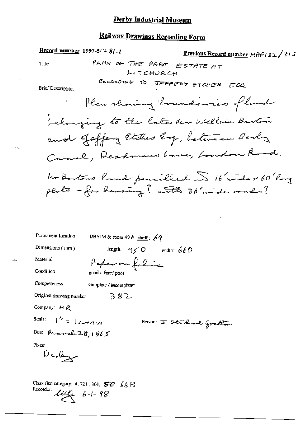#### **Railway Drawings Recording Form**

Record number 1997-5/ $28$ . Previous Record number  $ARP/32/3/5$ PLAN OF THE PARK ESTATE AT Title **LITCHURCH** BELONGING TO JEFFERY ETCHES ESQ **Brief Description** Plan showing boundaries of land belonging to the late ther William Barton and Jaffery Etches Eg, between Revers Canal, Deadmans Lave, London Road. No Bartons land pencilled ~ 16 mide x 60 long plots - for housing? with 30 wide roads? Permanent location DBYIM & room 49 & shelf:  $69$ length:  $q \leq 0$  width: 660 Dimensions  $(mn)$ Material Peperon folice Condition good / fair / poor Completeness complete / incomplete Original drawing number 382 Company: MR  $l'' = 1cmain$ Scale: Person: 5 Stevland Gretton Date: March 28, 1865 Place: Devly

Classified category: 4, 721, 301,  $\overline{\mathcal{B}}$   $\otimes$   $\mathcal{B}$  R Recorder:  $\mathcal{U}\mathcal{U}$  6-1-98